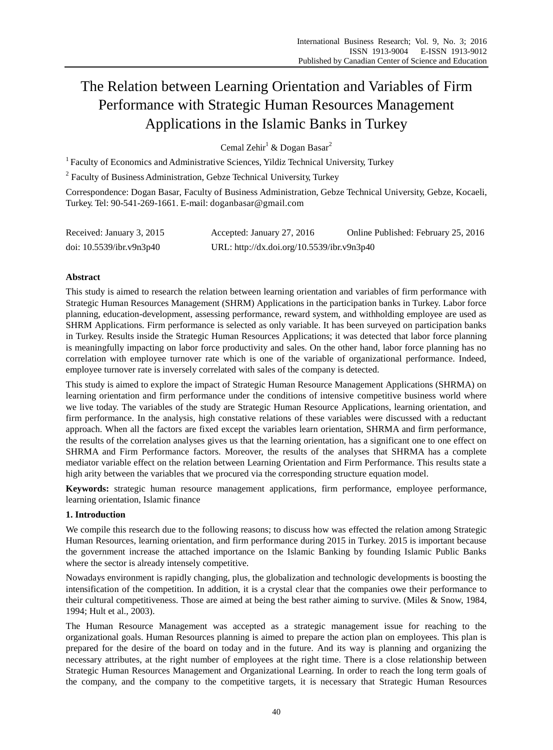# The Relation between Learning Orientation and Variables of Firm Performance with Strategic Human Resources Management Applications in the Islamic Banks in Turkey

Cemal Zehir<sup>1</sup> & Dogan Basar<sup>2</sup>

<sup>1</sup> Faculty of Economics and Administrative Sciences, Yildiz Technical University, Turkey

 $2^2$  Faculty of Business Administration, Gebze Technical University, Turkey

Correspondence: Dogan Basar, Faculty of Business Administration, Gebze Technical University, Gebze, Kocaeli, Turkey. Tel: 90-541-269-1661. E-mail: [doganbasar@gmail.com](mailto:doganbasar@gmail.com)

| Received: January 3, 2015   | Accepted: January 27, 2016                 | Online Published: February 25, 2016 |
|-----------------------------|--------------------------------------------|-------------------------------------|
| doi: $10.5539$ /ibr.v9n3p40 | URL: http://dx.doi.org/10.5539/ibr.v9n3p40 |                                     |

# **Abstract**

This study is aimed to research the relation between learning orientation and variables of firm performance with Strategic Human Resources Management (SHRM) Applications in the participation banks in Turkey. Labor force planning, education-development, assessing performance, reward system, and withholding employee are used as SHRM Applications. Firm performance is selected as only variable. It has been surveyed on participation banks in Turkey. Results inside the Strategic Human Resources Applications; it was detected that labor force planning is meaningfully impacting on labor force productivity and sales. On the other hand, labor force planning has no correlation with employee turnover rate which is one of the variable of organizational performance. Indeed, employee turnover rate is inversely correlated with sales of the company is detected.

This study is aimed to explore the impact of Strategic Human Resource Management Applications (SHRMA) on learning orientation and firm performance under the conditions of intensive competitive business world where we live today. The variables of the study are Strategic Human Resource Applications, learning orientation, and firm performance. In the analysis, high constative relations of these variables were discussed with a reductant approach. When all the factors are fixed except the variables learn orientation, SHRMA and firm performance, the results of the correlation analyses gives us that the learning orientation, has a significant one to one effect on SHRMA and Firm Performance factors. Moreover, the results of the analyses that SHRMA has a complete mediator variable effect on the relation between Learning Orientation and Firm Performance. This results state a high arity between the variables that we procured via the corresponding structure equation model.

**Keywords:** strategic human resource management applications, firm performance, employee performance, learning orientation, Islamic finance

# **1. Introduction**

We compile this research due to the following reasons; to discuss how was effected the relation among Strategic Human Resources, learning orientation, and firm performance during 2015 in Turkey. 2015 is important because the government increase the attached importance on the Islamic Banking by founding Islamic Public Banks where the sector is already intensely competitive.

Nowadays environment is rapidly changing, plus, the globalization and technologic developments is boosting the intensification of the competition. In addition, it is a crystal clear that the companies owe their performance to their cultural competitiveness. Those are aimed at being the best rather aiming to survive. (Miles & Snow, 1984, 1994; Hult et al., 2003).

The Human Resource Management was accepted as a strategic management issue for reaching to the organizational goals. Human Resources planning is aimed to prepare the action plan on employees. This plan is prepared for the desire of the board on today and in the future. And its way is planning and organizing the necessary attributes, at the right number of employees at the right time. There is a close relationship between Strategic Human Resources Management and Organizational Learning. In order to reach the long term goals of the company, and the company to the competitive targets, it is necessary that Strategic Human Resources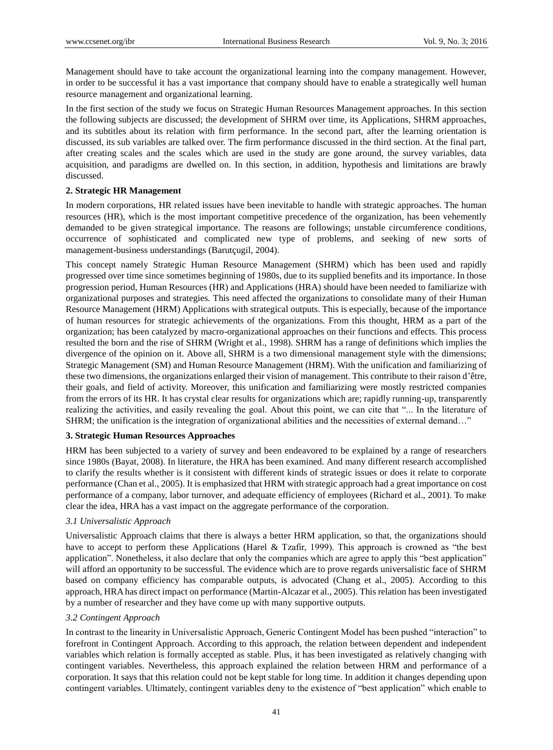Management should have to take account the organizational learning into the company management. However, in order to be successful it has a vast importance that company should have to enable a strategically well human resource management and organizational learning.

In the first section of the study we focus on Strategic Human Resources Management approaches. In this section the following subjects are discussed; the development of SHRM over time, its Applications, SHRM approaches, and its subtitles about its relation with firm performance. In the second part, after the learning orientation is discussed, its sub variables are talked over. The firm performance discussed in the third section. At the final part, after creating scales and the scales which are used in the study are gone around, the survey variables, data acquisition, and paradigms are dwelled on. In this section, in addition, hypothesis and limitations are brawly discussed.

## **2. Strategic HR Management**

In modern corporations, HR related issues have been inevitable to handle with strategic approaches. The human resources (HR), which is the most important competitive precedence of the organization, has been vehemently demanded to be given strategical importance. The reasons are followings; unstable circumference conditions, occurrence of sophisticated and complicated new type of problems, and seeking of new sorts of management-business understandings (Barutçugil, 2004).

This concept namely Strategic Human Resource Management (SHRM) which has been used and rapidly progressed over time since sometimes beginning of 1980s, due to its supplied benefits and its importance. In those progression period, Human Resources (HR) and Applications (HRA) should have been needed to familiarize with organizational purposes and strategies. This need affected the organizations to consolidate many of their Human Resource Management (HRM) Applications with strategical outputs. This is especially, because of the importance of human resources for strategic achievements of the organizations. From this thought, HRM as a part of the organization; has been catalyzed by macro-organizational approaches on their functions and effects. This process resulted the born and the rise of SHRM (Wright et al., 1998). SHRM has a range of definitions which implies the divergence of the opinion on it. Above all, SHRM is a two dimensional management style with the dimensions; Strategic Management (SM) and Human Resource Management (HRM). With the unification and familiarizing of these two dimensions, the organizations enlarged their vision of management. This contribute to their raison d'être, their goals, and field of activity. Moreover, this unification and familiarizing were mostly restricted companies from the errors of its HR. It has crystal clear results for organizations which are; rapidly running-up, transparently realizing the activities, and easily revealing the goal. About this point, we can cite that "... In the literature of SHRM; the unification is the integration of organizational abilities and the necessities of external demand…"

# **3. Strategic Human Resources Approaches**

HRM has been subjected to a variety of survey and been endeavored to be explained by a range of researchers since 1980s (Bayat, 2008). In literature, the HRA has been examined. And many different research accomplished to clarify the results whether is it consistent with different kinds of strategic issues or does it relate to corporate performance (Chan et al., 2005). It is emphasized that HRM with strategic approach had a great importance on cost performance of a company, labor turnover, and adequate efficiency of employees (Richard et al., 2001). To make clear the idea, HRA has a vast impact on the aggregate performance of the corporation.

# *3.1 Universalistic Approach*

Universalistic Approach claims that there is always a better HRM application, so that, the organizations should have to accept to perform these Applications (Harel & Tzafir, 1999). This approach is crowned as "the best application". Nonetheless, it also declare that only the companies which are agree to apply this "best application" will afford an opportunity to be successful. The evidence which are to prove regards universalistic face of SHRM based on company efficiency has comparable outputs, is advocated (Chang et al., 2005). According to this approach, HRA has direct impact on performance (Martin-Alcazar et al., 2005). This relation has been investigated by a number of researcher and they have come up with many supportive outputs.

## *3.2 Contingent Approach*

In contrast to the linearity in Universalistic Approach, Generic Contingent Model has been pushed "interaction" to forefront in Contingent Approach. According to this approach, the relation between dependent and independent variables which relation is formally accepted as stable. Plus, it has been investigated as relatively changing with contingent variables. Nevertheless, this approach explained the relation between HRM and performance of a corporation. It says that this relation could not be kept stable for long time. In addition it changes depending upon contingent variables. Ultimately, contingent variables deny to the existence of "best application" which enable to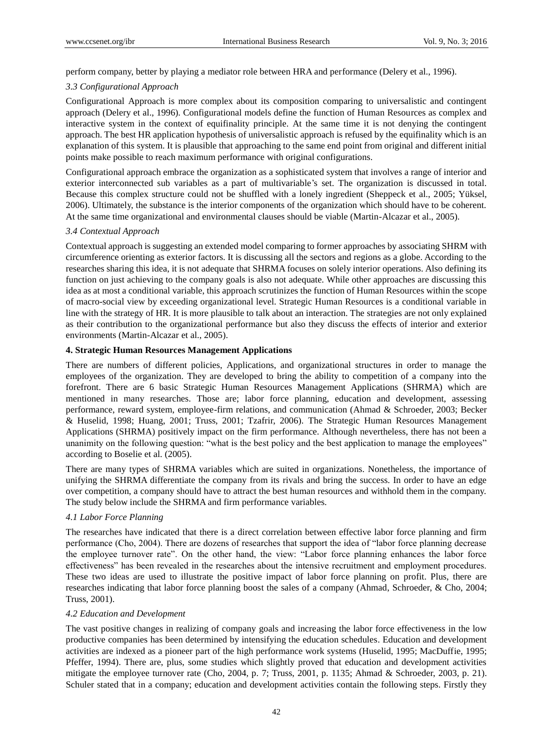perform company, better by playing a mediator role between HRA and performance (Delery et al., 1996).

## *3.3 Configurational Approach*

Configurational Approach is more complex about its composition comparing to universalistic and contingent approach (Delery et al., 1996). Configurational models define the function of Human Resources as complex and interactive system in the context of equifinality principle. At the same time it is not denying the contingent approach. The best HR application hypothesis of universalistic approach is refused by the equifinality which is an explanation of this system. It is plausible that approaching to the same end point from original and different initial points make possible to reach maximum performance with original configurations.

Configurational approach embrace the organization as a sophisticated system that involves a range of interior and exterior interconnected sub variables as a part of multivariable's set. The organization is discussed in total. Because this complex structure could not be shuffled with a lonely ingredient (Sheppeck et al., 2005; Yüksel, 2006). Ultimately, the substance is the interior components of the organization which should have to be coherent. At the same time organizational and environmental clauses should be viable (Martin-Alcazar et al., 2005).

## *3.4 Contextual Approach*

Contextual approach is suggesting an extended model comparing to former approaches by associating SHRM with circumference orienting as exterior factors. It is discussing all the sectors and regions as a globe. According to the researches sharing this idea, it is not adequate that SHRMA focuses on solely interior operations. Also defining its function on just achieving to the company goals is also not adequate. While other approaches are discussing this idea as at most a conditional variable, this approach scrutinizes the function of Human Resources within the scope of macro-social view by exceeding organizational level. Strategic Human Resources is a conditional variable in line with the strategy of HR. It is more plausible to talk about an interaction. The strategies are not only explained as their contribution to the organizational performance but also they discuss the effects of interior and exterior environments (Martin-Alcazar et al., 2005).

# **4. Strategic Human Resources Management Applications**

There are numbers of different policies, Applications, and organizational structures in order to manage the employees of the organization. They are developed to bring the ability to competition of a company into the forefront. There are 6 basic Strategic Human Resources Management Applications (SHRMA) which are mentioned in many researches. Those are; labor force planning, education and development, assessing performance, reward system, employee-firm relations, and communication (Ahmad & Schroeder, 2003; Becker & Huselid, 1998; Huang, 2001; Truss, 2001; Tzafrir, 2006). The Strategic Human Resources Management Applications (SHRMA) positively impact on the firm performance. Although nevertheless, there has not been a unanimity on the following question: "what is the best policy and the best application to manage the employees" according to Boselie et al. (2005).

There are many types of SHRMA variables which are suited in organizations. Nonetheless, the importance of unifying the SHRMA differentiate the company from its rivals and bring the success. In order to have an edge over competition, a company should have to attract the best human resources and withhold them in the company. The study below include the SHRMA and firm performance variables.

## *4.1 Labor Force Planning*

The researches have indicated that there is a direct correlation between effective labor force planning and firm performance (Cho, 2004). There are dozens of researches that support the idea of "labor force planning decrease the employee turnover rate". On the other hand, the view: "Labor force planning enhances the labor force effectiveness" has been revealed in the researches about the intensive recruitment and employment procedures. These two ideas are used to illustrate the positive impact of labor force planning on profit. Plus, there are researches indicating that labor force planning boost the sales of a company (Ahmad, Schroeder, & Cho, 2004; Truss, 2001).

## *4.2 Education and Development*

The vast positive changes in realizing of company goals and increasing the labor force effectiveness in the low productive companies has been determined by intensifying the education schedules. Education and development activities are indexed as a pioneer part of the high performance work systems (Huselid, 1995; MacDuffie, 1995; Pfeffer, 1994). There are, plus, some studies which slightly proved that education and development activities mitigate the employee turnover rate (Cho, 2004, p. 7; Truss, 2001, p. 1135; Ahmad & Schroeder, 2003, p. 21). Schuler stated that in a company; education and development activities contain the following steps. Firstly they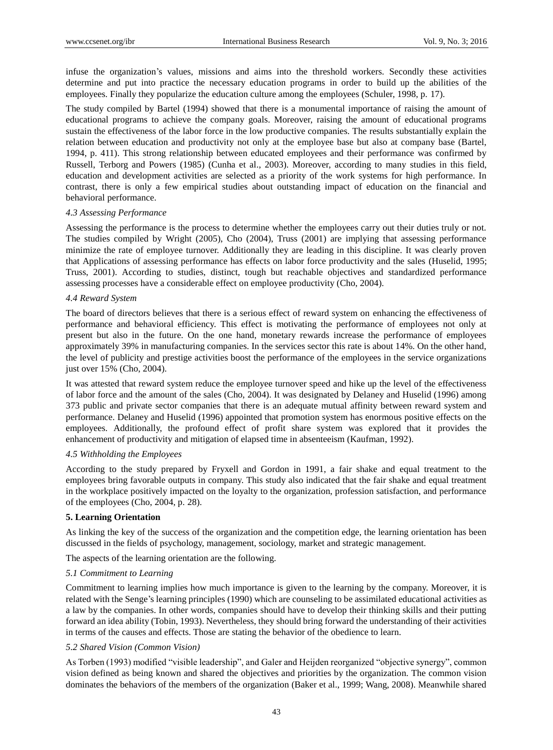infuse the organization's values, missions and aims into the threshold workers. Secondly these activities determine and put into practice the necessary education programs in order to build up the abilities of the employees. Finally they popularize the education culture among the employees (Schuler, 1998, p. 17).

The study compiled by Bartel (1994) showed that there is a monumental importance of raising the amount of educational programs to achieve the company goals. Moreover, raising the amount of educational programs sustain the effectiveness of the labor force in the low productive companies. The results substantially explain the relation between education and productivity not only at the employee base but also at company base (Bartel, 1994, p. 411). This strong relationship between educated employees and their performance was confirmed by Russell, Terborg and Powers (1985) (Cunha et al., 2003). Moreover, according to many studies in this field, education and development activities are selected as a priority of the work systems for high performance. In contrast, there is only a few empirical studies about outstanding impact of education on the financial and behavioral performance.

## *4.3 Assessing Performance*

Assessing the performance is the process to determine whether the employees carry out their duties truly or not. The studies compiled by Wright (2005), Cho (2004), Truss (2001) are implying that assessing performance minimize the rate of employee turnover. Additionally they are leading in this discipline. It was clearly proven that Applications of assessing performance has effects on labor force productivity and the sales (Huselid, 1995; Truss, 2001). According to studies, distinct, tough but reachable objectives and standardized performance assessing processes have a considerable effect on employee productivity (Cho, 2004).

#### *4.4 Reward System*

The board of directors believes that there is a serious effect of reward system on enhancing the effectiveness of performance and behavioral efficiency. This effect is motivating the performance of employees not only at present but also in the future. On the one hand, monetary rewards increase the performance of employees approximately 39% in manufacturing companies. In the services sector this rate is about 14%. On the other hand, the level of publicity and prestige activities boost the performance of the employees in the service organizations just over 15% (Cho, 2004).

It was attested that reward system reduce the employee turnover speed and hike up the level of the effectiveness of labor force and the amount of the sales (Cho, 2004). It was designated by Delaney and Huselid (1996) among 373 public and private sector companies that there is an adequate mutual affinity between reward system and performance. Delaney and Huselid (1996) appointed that promotion system has enormous positive effects on the employees. Additionally, the profound effect of profit share system was explored that it provides the enhancement of productivity and mitigation of elapsed time in absenteeism (Kaufman, 1992).

## *4.5 Withholding the Employees*

According to the study prepared by Fryxell and Gordon in 1991, a fair shake and equal treatment to the employees bring favorable outputs in company. This study also indicated that the fair shake and equal treatment in the workplace positively impacted on the loyalty to the organization, profession satisfaction, and performance of the employees (Cho, 2004, p. 28).

## **5. Learning Orientation**

As linking the key of the success of the organization and the competition edge, the learning orientation has been discussed in the fields of psychology, management, sociology, market and strategic management.

The aspects of the learning orientation are the following.

## *5.1 Commitment to Learning*

Commitment to learning implies how much importance is given to the learning by the company. Moreover, it is related with the Senge's learning principles (1990) which are counseling to be assimilated educational activities as a law by the companies. In other words, companies should have to develop their thinking skills and their putting forward an idea ability (Tobin, 1993). Nevertheless, they should bring forward the understanding of their activities in terms of the causes and effects. Those are stating the behavior of the obedience to learn.

## *5.2 Shared Vision (Common Vision)*

As Torben (1993) modified "visible leadership", and Galer and Heijden reorganized "objective synergy", common vision defined as being known and shared the objectives and priorities by the organization. The common vision dominates the behaviors of the members of the organization (Baker et al., 1999; Wang, 2008). Meanwhile shared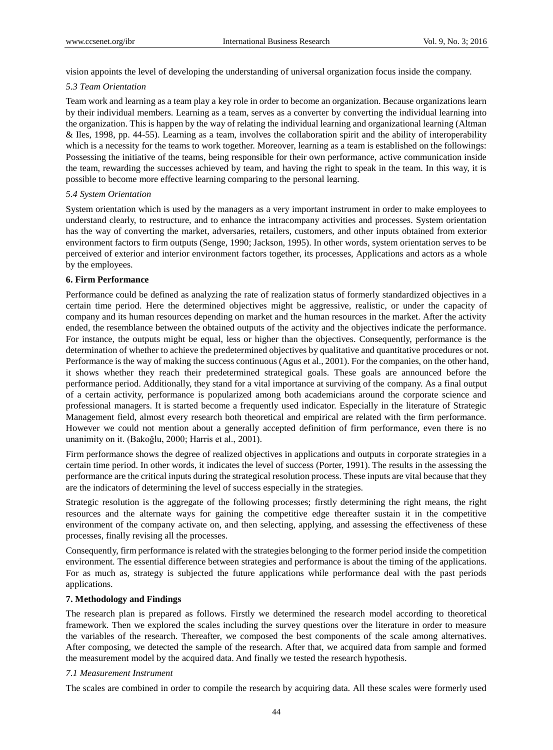vision appoints the level of developing the understanding of universal organization focus inside the company.

#### *5.3 Team Orientation*

Team work and learning as a team play a key role in order to become an organization. Because organizations learn by their individual members. Learning as a team, serves as a converter by converting the individual learning into the organization. This is happen by the way of relating the individual learning and organizational learning (Altman & Iles, 1998, pp. 44-55). Learning as a team, involves the collaboration spirit and the ability of interoperability which is a necessity for the teams to work together. Moreover, learning as a team is established on the followings: Possessing the initiative of the teams, being responsible for their own performance, active communication inside the team, rewarding the successes achieved by team, and having the right to speak in the team. In this way, it is possible to become more effective learning comparing to the personal learning.

#### *5.4 System Orientation*

System orientation which is used by the managers as a very important instrument in order to make employees to understand clearly, to restructure, and to enhance the intracompany activities and processes. System orientation has the way of converting the market, adversaries, retailers, customers, and other inputs obtained from exterior environment factors to firm outputs (Senge, 1990; Jackson, 1995). In other words, system orientation serves to be perceived of exterior and interior environment factors together, its processes, Applications and actors as a whole by the employees.

#### **6. Firm Performance**

Performance could be defined as analyzing the rate of realization status of formerly standardized objectives in a certain time period. Here the determined objectives might be aggressive, realistic, or under the capacity of company and its human resources depending on market and the human resources in the market. After the activity ended, the resemblance between the obtained outputs of the activity and the objectives indicate the performance. For instance, the outputs might be equal, less or higher than the objectives. Consequently, performance is the determination of whether to achieve the predetermined objectives by qualitative and quantitative procedures or not. Performance is the way of making the success continuous (Agus et al., 2001). For the companies, on the other hand, it shows whether they reach their predetermined strategical goals. These goals are announced before the performance period. Additionally, they stand for a vital importance at surviving of the company. As a final output of a certain activity, performance is popularized among both academicians around the corporate science and professional managers. It is started become a frequently used indicator. Especially in the literature of Strategic Management field, almost every research both theoretical and empirical are related with the firm performance. However we could not mention about a generally accepted definition of firm performance, even there is no unanimity on it. (Bakoğlu, 2000; Harris et al., 2001).

Firm performance shows the degree of realized objectives in applications and outputs in corporate strategies in a certain time period. In other words, it indicates the level of success (Porter, 1991). The results in the assessing the performance are the critical inputs during the strategical resolution process. These inputs are vital because that they are the indicators of determining the level of success especially in the strategies.

Strategic resolution is the aggregate of the following processes; firstly determining the right means, the right resources and the alternate ways for gaining the competitive edge thereafter sustain it in the competitive environment of the company activate on, and then selecting, applying, and assessing the effectiveness of these processes, finally revising all the processes.

Consequently, firm performance is related with the strategies belonging to the former period inside the competition environment. The essential difference between strategies and performance is about the timing of the applications. For as much as, strategy is subjected the future applications while performance deal with the past periods applications.

#### **7. Methodology and Findings**

The research plan is prepared as follows. Firstly we determined the research model according to theoretical framework. Then we explored the scales including the survey questions over the literature in order to measure the variables of the research. Thereafter, we composed the best components of the scale among alternatives. After composing, we detected the sample of the research. After that, we acquired data from sample and formed the measurement model by the acquired data. And finally we tested the research hypothesis.

#### *7.1 Measurement Instrument*

The scales are combined in order to compile the research by acquiring data. All these scales were formerly used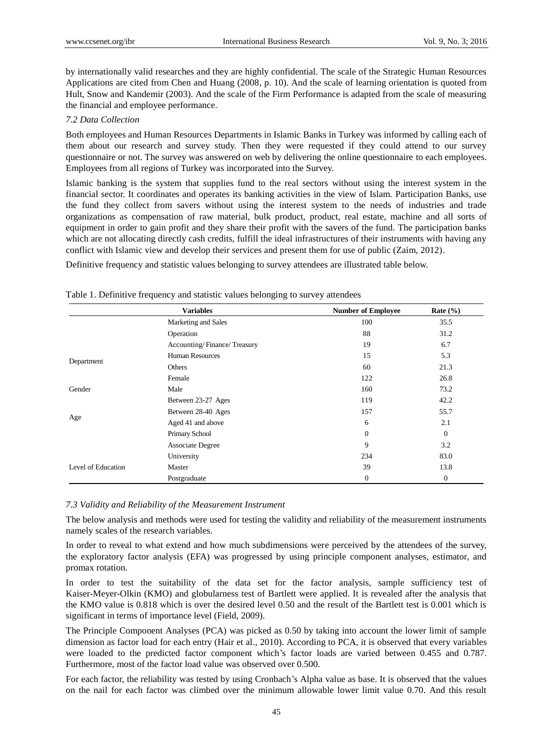by internationally valid researches and they are highly confidential. The scale of the Strategic Human Resources Applications are cited from Chen and Huang (2008, p. 10). And the scale of learning orientation is quoted from Hult, Snow and Kandemir (2003). And the scale of the Firm Performance is adapted from the scale of measuring the financial and employee performance.

#### *7.2 Data Collection*

Both employees and Human Resources Departments in Islamic Banks in Turkey was informed by calling each of them about our research and survey study. Then they were requested if they could attend to our survey questionnaire or not. The survey was answered on web by delivering the online questionnaire to each employees. Employees from all regions of Turkey was incorporated into the Survey.

Islamic banking is the system that supplies fund to the real sectors without using the interest system in the financial sector. It coordinates and operates its banking activities in the view of Islam. Participation Banks, use the fund they collect from savers without using the interest system to the needs of industries and trade organizations as compensation of raw material, bulk product, product, real estate, machine and all sorts of equipment in order to gain profit and they share their profit with the savers of the fund. The participation banks which are not allocating directly cash credits, fulfill the ideal infrastructures of their instruments with having any conflict with Islamic view and develop their services and present them for use of public (Zaim, 2012).

Definitive frequency and statistic values belonging to survey attendees are illustrated table below.

|                    | <b>Variables</b>            | <b>Number of Employee</b> | Rate $(\% )$     |
|--------------------|-----------------------------|---------------------------|------------------|
|                    | Marketing and Sales         | 100                       | 35.5             |
|                    | Operation                   | 88                        | 31.2             |
|                    | Accounting/Finance/Treasury | 19                        | 6.7              |
|                    | <b>Human Resources</b>      | 15                        | 5.3              |
| Department         | Others                      | 60                        | 21.3             |
|                    | Female                      | 122                       | 26.8             |
| Gender             | Male                        | 160                       | 73.2             |
|                    | Between 23-27 Ages          | 119                       | 42.2             |
|                    | Between 28-40 Ages          | 157                       | 55.7             |
| Age                | Aged 41 and above           | 6                         | 2.1              |
|                    | Primary School              | $\theta$                  | $\theta$         |
|                    | <b>Associate Degree</b>     | 9                         | 3.2              |
|                    | University                  | 234                       | 83.0             |
| Level of Education | Master                      | 39                        | 13.8             |
|                    | Postgraduate                | $\mathbf{0}$              | $\boldsymbol{0}$ |

Table 1. Definitive frequency and statistic values belonging to survey attendees

#### *7.3 Validity and Reliability of the Measurement Instrument*

The below analysis and methods were used for testing the validity and reliability of the measurement instruments namely scales of the research variables.

In order to reveal to what extend and how much subdimensions were perceived by the attendees of the survey, the exploratory factor analysis (EFA) was progressed by using principle component analyses, estimator, and promax rotation.

In order to test the suitability of the data set for the factor analysis, sample sufficiency test of Kaiser-Meyer-Olkin (KMO) and globularness test of Bartlett were applied. It is revealed after the analysis that the KMO value is 0.818 which is over the desired level 0.50 and the result of the Bartlett test is 0.001 which is significant in terms of importance level (Field, 2009).

The Principle Component Analyses (PCA) was picked as 0.50 by taking into account the lower limit of sample dimension as factor load for each entry (Hair et al., 2010). According to PCA, it is observed that every variables were loaded to the predicted factor component which's factor loads are varied between 0.455 and 0.787. Furthermore, most of the factor load value was observed over 0.500.

For each factor, the reliability was tested by using Cronbach's Alpha value as base. It is observed that the values on the nail for each factor was climbed over the minimum allowable lower limit value 0.70. And this result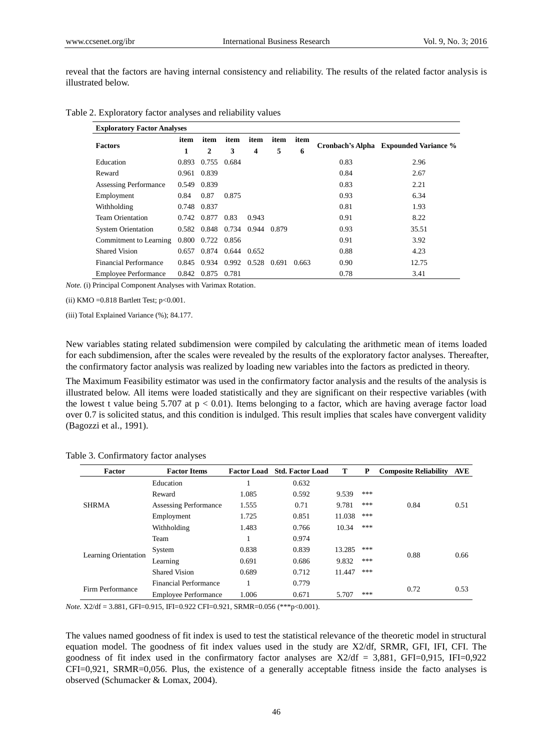reveal that the factors are having internal consistency and reliability. The results of the related factor analysis is illustrated below.

| <b>Exploratory Factor Analyses</b> |             |                               |             |       |       |       |      |                                       |  |  |
|------------------------------------|-------------|-------------------------------|-------------|-------|-------|-------|------|---------------------------------------|--|--|
| <b>Factors</b>                     | item        | item                          | item        | item  | item  | item  |      | Cronbach's Alpha Expounded Variance % |  |  |
|                                    | 1           | 2                             | 3           | 4     | 5     | 6     |      |                                       |  |  |
| Education                          | 0.893       | 0.755                         | 0.684       |       |       |       | 0.83 | 2.96                                  |  |  |
| Reward                             | 0.961       | 0.839                         |             |       |       |       | 0.84 | 2.67                                  |  |  |
| Assessing Performance              | 0.549       | 0.839                         |             |       |       |       | 0.83 | 2.21                                  |  |  |
| Employment                         | 0.84        | 0.87                          | 0.875       |       |       |       | 0.93 | 6.34                                  |  |  |
| Withholding                        | 0.748 0.837 |                               |             |       |       |       | 0.81 | 1.93                                  |  |  |
| <b>Team Orientation</b>            | 0.742       | 0.877                         | 0.83        | 0.943 |       |       | 0.91 | 8.22                                  |  |  |
| <b>System Orientation</b>          |             | 0.582 0.848 0.734 0.944 0.879 |             |       |       |       | 0.93 | 35.51                                 |  |  |
| Commitment to Learning             |             | 0.800 0.722 0.856             |             |       |       |       | 0.91 | 3.92                                  |  |  |
| <b>Shared Vision</b>               | 0.657       |                               | 0.874 0.644 | 0.652 |       |       | 0.88 | 4.23                                  |  |  |
| <b>Financial Performance</b>       |             | 0.845 0.934 0.992 0.528       |             |       | 0.691 | 0.663 | 0.90 | 12.75                                 |  |  |
| <b>Employee Performance</b>        | 0.842       | 0.875 0.781                   |             |       |       |       | 0.78 | 3.41                                  |  |  |
|                                    |             |                               |             |       |       |       |      |                                       |  |  |

*Note.* (i) Principal Component Analyses with Varimax Rotation.

(ii) KMO =  $0.818$  Bartlett Test; p< $0.001$ .

(iii) Total Explained Variance (%); 84.177.

New variables stating related subdimension were compiled by calculating the arithmetic mean of items loaded for each subdimension, after the scales were revealed by the results of the exploratory factor analyses. Thereafter, the confirmatory factor analysis was realized by loading new variables into the factors as predicted in theory.

The Maximum Feasibility estimator was used in the confirmatory factor analysis and the results of the analysis is illustrated below. All items were loaded statistically and they are significant on their respective variables (with the lowest t value being 5.707 at  $p < 0.01$ ). Items belonging to a factor, which are having average factor load over 0.7 is solicited status, and this condition is indulged. This result implies that scales have convergent validity (Bagozzi et al., 1991).

| Factor                      | <b>Factor Items</b>          | <b>Factor Load</b>             | <b>Std. Factor Load</b> |        | P   | <b>Composite Reliability</b> | AVE  |
|-----------------------------|------------------------------|--------------------------------|-------------------------|--------|-----|------------------------------|------|
|                             | Education                    |                                | 0.632                   |        |     |                              |      |
|                             | Reward                       | 1.085                          | 0.592                   | 9.539  | *** |                              |      |
| <b>SHRMA</b>                | Assessing Performance        | 1.555                          | 0.71                    | 9.781  | *** | 0.84                         | 0.51 |
|                             | Employment                   | 1.725                          | 0.851                   | 11.038 | *** |                              |      |
|                             | Withholding                  | 1.483<br>10.34<br>0.766        |                         |        | *** |                              |      |
|                             | Team                         |                                | 0.974                   |        |     |                              |      |
| <b>Learning Orientation</b> | System                       | 0.838                          | 0.839                   | 13.285 | *** | 0.88                         | 0.66 |
|                             | Learning                     | 0.691                          | 0.686                   | 9.832  | *** |                              |      |
|                             | <b>Shared Vision</b>         | 0.689                          | 0.712                   | 11.447 | *** |                              |      |
| Firm Performance            | <b>Financial Performance</b> |                                | 0.779                   |        |     | 0.72                         | 0.53 |
|                             | <b>Employee Performance</b>  | ***<br>1.006<br>0.671<br>5.707 |                         |        |     |                              |      |

Table 3. Confirmatory factor analyses

*Note.* X2/df = 3.881, GFI=0.915, IFI=0.922 CFI=0.921, SRMR=0.056 (\*\*\*p<0.001).

The values named goodness of fit index is used to test the statistical relevance of the theoretic model in structural equation model. The goodness of fit index values used in the study are X2/df, SRMR, GFI, IFI, CFI. The goodness of fit index used in the confirmatory factor analyses are  $X2/df = 3,881$ , GFI=0,915, IFI=0,922 CFI=0,921, SRMR=0,056. Plus, the existence of a generally acceptable fitness inside the facto analyses is observed (Schumacker & Lomax, 2004).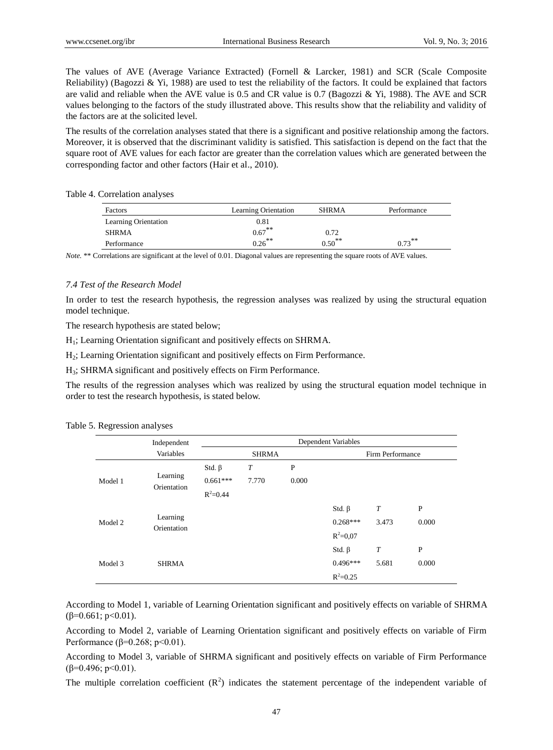The values of AVE (Average Variance Extracted) (Fornell & Larcker, 1981) and SCR (Scale Composite Reliability) (Bagozzi & Yi, 1988) are used to test the reliability of the factors. It could be explained that factors are valid and reliable when the AVE value is 0.5 and CR value is 0.7 (Bagozzi & Yi, 1988). The AVE and SCR values belonging to the factors of the study illustrated above. This results show that the reliability and validity of the factors are at the solicited level.

The results of the correlation analyses stated that there is a significant and positive relationship among the factors. Moreover, it is observed that the discriminant validity is satisfied. This satisfaction is depend on the fact that the square root of AVE values for each factor are greater than the correlation values which are generated between the corresponding factor and other factors (Hair et al., 2010).

|  | Table 4. Correlation analyses |  |
|--|-------------------------------|--|
|--|-------------------------------|--|

| Factors              | Learning Orientation | <b>SHRMA</b> | Performance |
|----------------------|----------------------|--------------|-------------|
| Learning Orientation | 0.81                 |              |             |
| <b>SHRMA</b>         | $0.67$ <sup>**</sup> | 0.72         |             |
| Performance          | $0.26$ <sup>**</sup> | $0.50^{**}$  | $0.73***$   |

*Note.* \*\* Correlations are significant at the level of 0.01. Diagonal values are representing the square roots of AVE values.

#### *7.4 Test of the Research Model*

In order to test the research hypothesis, the regression analyses was realized by using the structural equation model technique.

The research hypothesis are stated below;

H<sub>1</sub>; Learning Orientation significant and positively effects on SHRMA.

H2; Learning Orientation significant and positively effects on Firm Performance.

H3; SHRMA significant and positively effects on Firm Performance.

The results of the regression analyses which was realized by using the structural equation model technique in order to test the research hypothesis, is stated below.

#### Table 5. Regression analyses

|         | Independent             | <b>Dependent Variables</b>                 |                           |            |                                            |                         |            |  |  |
|---------|-------------------------|--------------------------------------------|---------------------------|------------|--------------------------------------------|-------------------------|------------|--|--|
|         | Variables               |                                            | <b>SHRMA</b>              |            |                                            | Firm Performance        |            |  |  |
| Model 1 | Learning<br>Orientation | Std. $\beta$<br>$0.661***$<br>$R^2 = 0.44$ | $\boldsymbol{T}$<br>7.770 | P<br>0.000 |                                            |                         |            |  |  |
| Model 2 | Learning<br>Orientation |                                            |                           |            | Std. $\beta$<br>$0.268***$<br>$R^2=0.07$   | $\overline{T}$<br>3.473 | P<br>0.000 |  |  |
| Model 3 | <b>SHRMA</b>            |                                            |                           |            | Std. $\beta$<br>$0.496***$<br>$R^2 = 0.25$ | $\overline{T}$<br>5.681 | P<br>0.000 |  |  |

According to Model 1, variable of Learning Orientation significant and positively effects on variable of SHRMA  $(β=0.661; p<0.01).$ 

According to Model 2, variable of Learning Orientation significant and positively effects on variable of Firm Performance (β=0.268; p<0.01).

According to Model 3, variable of SHRMA significant and positively effects on variable of Firm Performance ( $\beta$ =0.496; p<0.01).

The multiple correlation coefficient  $(R^2)$  indicates the statement percentage of the independent variable of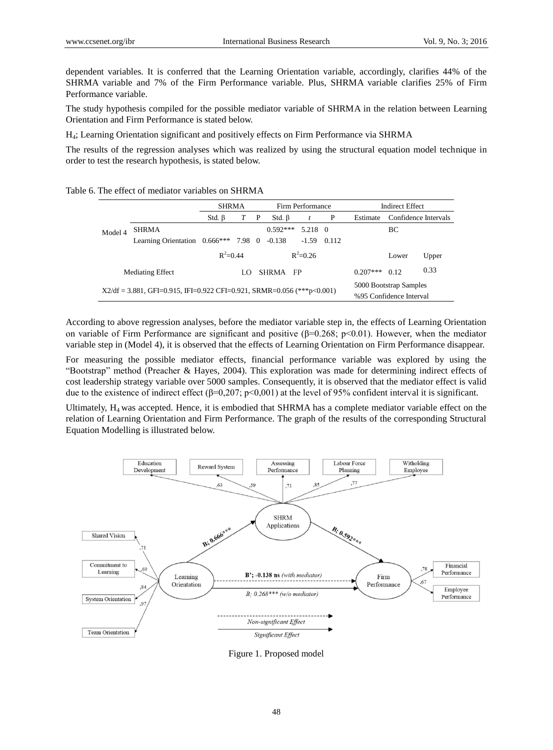dependent variables. It is conferred that the Learning Orientation variable, accordingly, clarifies 44% of the SHRMA variable and 7% of the Firm Performance variable. Plus, SHRMA variable clarifies 25% of Firm Performance variable.

The study hypothesis compiled for the possible mediator variable of SHRMA in the relation between Learning Orientation and Firm Performance is stated below.

H4; Learning Orientation significant and positively effects on Firm Performance via SHRMA

The results of the regression analyses which was realized by using the structural equation model technique in order to test the research hypothesis, is stated below.

Table 6. The effect of mediator variables on SHRMA

|                                                                           |                             | <b>SHRMA</b>                 |      |              |              | Firm Performance |              | <b>Indirect Effect</b>                            |       |                      |
|---------------------------------------------------------------------------|-----------------------------|------------------------------|------|--------------|--------------|------------------|--------------|---------------------------------------------------|-------|----------------------|
|                                                                           |                             | $Std. \beta$                 | T    | $\mathbf{P}$ | $Std. \beta$ |                  | $\mathbf{P}$ | Estimate                                          |       | Confidence Intervals |
| Model 4                                                                   | <b>SHRMA</b>                |                              |      |              | $0.592***$   | $5.218 \quad 0$  |              |                                                   | BC    |                      |
|                                                                           | <b>Learning Orientation</b> | $0.666***$                   | 7.98 | $\Omega$     | $-0.138$     | $-1.59$          | 0.112        |                                                   |       |                      |
|                                                                           |                             | $R^2 = 0.44$<br>$R^2 = 0.26$ |      |              |              |                  |              |                                                   | Lower | Upper                |
| Mediating Effect<br>LО                                                    |                             |                              |      | SHRMA FP     |              |                  | $0.207***$   | 0.12                                              | 0.33  |                      |
| $X2/df = 3.881$ , GFI=0.915, IFI=0.922 CFI=0.921, SRMR=0.056 (***p<0.001) |                             |                              |      |              |              |                  |              | 5000 Bootstrap Samples<br>%95 Confidence Interval |       |                      |

According to above regression analyses, before the mediator variable step in, the effects of Learning Orientation on variable of Firm Performance are significant and positive  $(\beta=0.268; p<0.01)$ . However, when the mediator variable step in (Model 4), it is observed that the effects of Learning Orientation on Firm Performance disappear.

For measuring the possible mediator effects, financial performance variable was explored by using the "Bootstrap" method (Preacher & Hayes, 2004). This exploration was made for determining indirect effects of cost leadership strategy variable over 5000 samples. Consequently, it is observed that the mediator effect is valid due to the existence of indirect effect (β=0,207; p<0,001) at the level of 95% confident interval it is significant.

Ultimately, H4 was accepted. Hence, it is embodied that SHRMA has a complete mediator variable effect on the relation of Learning Orientation and Firm Performance. The graph of the results of the corresponding Structural Equation Modelling is illustrated below.



Figure 1. Proposed model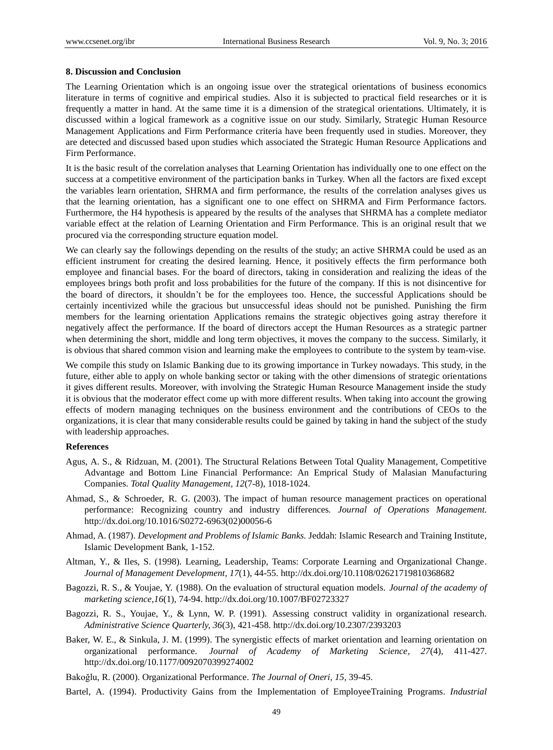#### **8. Discussion and Conclusion**

The Learning Orientation which is an ongoing issue over the strategical orientations of business economics literature in terms of cognitive and empirical studies. Also it is subjected to practical field researches or it is frequently a matter in hand. At the same time it is a dimension of the strategical orientations. Ultimately, it is discussed within a logical framework as a cognitive issue on our study. Similarly, Strategic Human Resource Management Applications and Firm Performance criteria have been frequently used in studies. Moreover, they are detected and discussed based upon studies which associated the Strategic Human Resource Applications and Firm Performance.

It is the basic result of the correlation analyses that Learning Orientation has individually one to one effect on the success at a competitive environment of the participation banks in Turkey. When all the factors are fixed except the variables learn orientation, SHRMA and firm performance, the results of the correlation analyses gives us that the learning orientation, has a significant one to one effect on SHRMA and Firm Performance factors. Furthermore, the H4 hypothesis is appeared by the results of the analyses that SHRMA has a complete mediator variable effect at the relation of Learning Orientation and Firm Performance. This is an original result that we procured via the corresponding structure equation model.

We can clearly say the followings depending on the results of the study; an active SHRMA could be used as an efficient instrument for creating the desired learning. Hence, it positively effects the firm performance both employee and financial bases. For the board of directors, taking in consideration and realizing the ideas of the employees brings both profit and loss probabilities for the future of the company. If this is not disincentive for the board of directors, it shouldn't be for the employees too. Hence, the successful Applications should be certainly incentivized while the gracious but unsuccessful ideas should not be punished. Punishing the firm members for the learning orientation Applications remains the strategic objectives going astray therefore it negatively affect the performance. If the board of directors accept the Human Resources as a strategic partner when determining the short, middle and long term objectives, it moves the company to the success. Similarly, it is obvious that shared common vision and learning make the employees to contribute to the system by team-vise.

We compile this study on Islamic Banking due to its growing importance in Turkey nowadays. This study, in the future, either able to apply on whole banking sector or taking with the other dimensions of strategic orientations it gives different results. Moreover, with involving the Strategic Human Resource Management inside the study it is obvious that the moderator effect come up with more different results. When taking into account the growing effects of modern managing techniques on the business environment and the contributions of CEOs to the organizations, it is clear that many considerable results could be gained by taking in hand the subject of the study with leadership approaches.

#### **References**

- Agus, A. S., & Ridzuan, M. (2001). The Structural Relations Between Total Quality Management, Competitive Advantage and Bottom Line Financial Performance: An Emprical Study of Malasian Manufacturing Companies. *Total Quality Management, 12*(7-8), 1018-1024.
- Ahmad, S., & Schroeder, R. G. (2003). The impact of human resource management practices on operational performance: Recognizing country and industry differences*. Journal of Operations Management.*  http://dx.doi.org/10.1016/S0272-6963(02)00056-6
- Ahmad, A. (1987). *Development and Problems of Islamic Banks.* Jeddah: Islamic Research and Training Institute, Islamic Development Bank, 1-152.
- Altman, Y., & Iles, S. (1998). Learning, Leadership, Teams: Corporate Learning and Organizational Change. *Journal of Management Development, 17*(1), 44-55.<http://dx.doi.org/10.1108/02621719810368682>
- Bagozzi, R. S., & Youjae, Y. (1988). On the evaluation of structural equation models. *Journal of the academy of marketing science,16*(1), 74-94.<http://dx.doi.org/10.1007/BF02723327>
- Bagozzi, R. S., Youjae, Y., & Lynn, W. P. (1991). Assessing construct validity in organizational research. *Administrative Science Quarterly, 36*(3), 421-458.<http://dx.doi.org/10.2307/2393203>
- Baker, W. E., & Sinkula, J. M. (1999). The synergistic effects of market orientation and learning orientation on organizational performance. *Journal of Academy of Marketing Science, 27*(4), 411-427. <http://dx.doi.org/10.1177/0092070399274002>
- Bakoğlu, R. (2000). Organizational Performance. *The Journal of Oneri, 15,* 39-45.
- Bartel, A. (1994). Productivity Gains from the Implementation of EmployeeTraining Programs. *Industrial*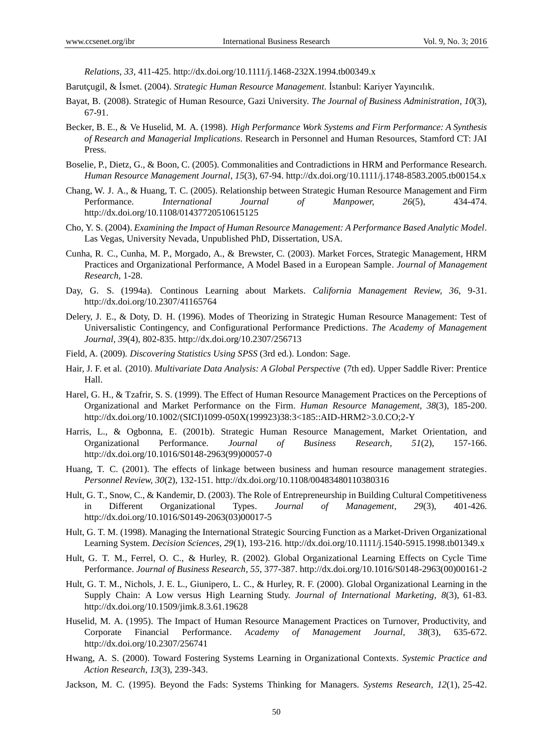*Relations, 33,* 411-425[. http://dx.doi.org/10.1111/j.1468-232X.1994.tb00349.x](http://dx.doi.org/10.1111/j.1468-232X.1994.tb00349.x)

Barutçugil, & İsmet. (2004). *Strategic Human Resource Management.* İstanbul: Kariyer Yayıncılık.

- Bayat, B. (2008). Strategic of Human Resource, Gazi University. *The Journal of Business Administration, 10*(3), 67-91.
- Becker, B. E., & Ve Huselid, M. A. (1998). *High Performance Work Systems and Firm Performance: A Synthesis of Research and Managerial Implications.* Research in Personnel and Human Resources, Stamford CT: JAI Press.
- Boselie, P., Dietz, G., & Boon, C. (2005). Commonalities and Contradictions in HRM and Performance Research. *Human Resource Management Journal, 15*(3), 67-94. http://dx.doi.org/10.1111/j.1748-8583.2005.tb00154.x
- Chang, W. J. A., & Huang, T. C. (2005). Relationship between Strategic Human Resource Management and Firm Performance*. International Journal of Manpower, 26*(5), 434-474. <http://dx.doi.org/10.1108/01437720510615125>
- Cho, Y. S. (2004). *Examining the Impact of Human Resource Management: A Performance Based Analytic Model.*  Las Vegas, University Nevada, Unpublished PhD, Dissertation, USA.
- Cunha, R. C., Cunha, M. P., Morgado, A., & Brewster, C. (2003). Market Forces, Strategic Management, HRM Practices and Organizational Performance, A Model Based in a European Sample. *Journal of Management Research,* 1-28.
- Day, G. S. (1994a). Continous Learning about Markets. *California Management Review, 36*, 9-31. <http://dx.doi.org/10.2307/41165764>
- Delery, J. E., & Doty, D. H. (1996). Modes of Theorizing in Strategic Human Resource Management: Test of Universalistic Contingency, and Configurational Performance Predictions. *The Academy of Management Journal, 39*(4), 802-835.<http://dx.doi.org/10.2307/256713>
- Field, A. (2009)*. Discovering Statistics Using SPSS* (3rd ed.). London: Sage.
- Hair, J. F. et al. (2010). *Multivariate Data Analysis: A Global Perspective* (7th ed). Upper Saddle River: Prentice Hall.
- Harel, G. H., & Tzafrir, S. S. (1999). The Effect of Human Resource Management Practices on the Perceptions of Organizational and Market Performance on the Firm. *Human Resource Management, 38*(3), 185-200. [http://dx.doi.org/10.1002/\(SICI\)1099-050X\(199923\)38:3<185::AID-HRM2>3.0.CO;2-Y](http://dx.doi.org/10.1002/(SICI)1099-050X(199923)38:3%3C185::AID-HRM2%3E3.0.CO;2-Y)
- Harris, L., & Ogbonna, E. (2001b). Strategic Human Resource Management, Market Orientation, and Organizational Performance*. Journal of Business Research, 51*(2), 157-166. [http://dx.doi.org/10.1016/S0148-2963\(99\)00057-0](http://dx.doi.org/10.1016/S0148-2963(99)00057-0)
- Huang, T. C. (2001). The effects of linkage between business and human resource management strategies. *Personnel Review, 30*(2), 132-151.<http://dx.doi.org/10.1108/00483480110380316>
- Hult, G. T., Snow, C., & Kandemir, D. (2003). The Role of Entrepreneurship in Building Cultural Competitiveness in Different Organizational Types. *Journal of Management, 29*(3), 401-426. [http://dx.doi.org/10.1016/S0149-2063\(03\)00017-5](http://dx.doi.org/10.1016/S0149-2063(03)00017-5)
- Hult, G. T. M. (1998). Managing the International Strategic Sourcing Function as a Market-Driven Organizational Learning System. *Decision Sciences, 29*(1), 193-216[. http://dx.doi.org/10.1111/j.1540-5915.1998.tb01349.x](http://dx.doi.org/10.1111/j.1540-5915.1998.tb01349.x)
- Hult, G. T. M., Ferrel, O. C., & Hurley, R. (2002). Global Organizational Learning Effects on Cycle Time Performance. *Journal of Business Research, 55*, 377-387[. http://dx.doi.org/10.1016/S0148-2963\(00\)00161-2](http://dx.doi.org/10.1016/S0148-2963(00)00161-2)
- Hult, G. T. M., Nichols, J. E. L., Giunipero, L. C., & Hurley, R. F. (2000). Global Organizational Learning in the Supply Chain: A Low versus High Learning Study. *Journal of International Marketing, 8*(3), 61-83. <http://dx.doi.org/10.1509/jimk.8.3.61.19628>
- Huselid, M. A. (1995). The Impact of Human Resource Management Practices on Turnover, Productivity, and Corporate Financial Performance. *Academy of Management Journal, 38*(3), 635-672. <http://dx.doi.org/10.2307/256741>
- Hwang, A. S. (2000). Toward Fostering Systems Learning in Organizational Contexts. *Systemic Practice and Action Research, 13*(3), 239-343.
- Jackson, M. C. (1995). Beyond the Fads: Systems Thinking for Managers. *Systems Research, 12*(1), 25-42.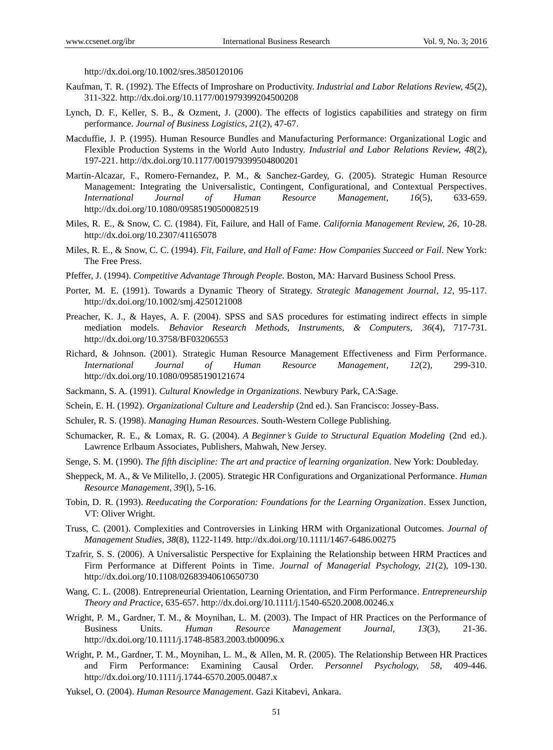<http://dx.doi.org/10.1002/sres.3850120106>

- Kaufman, T. R. (1992). The Effects of Improshare on Productivity. *Industrial and Labor Relations Review, 45*(2), 311-322.<http://dx.doi.org/10.1177/001979399204500208>
- Lynch, D. F., Keller, S. B., & Ozment, J. (2000). The effects of logistics capabilities and strategy on firm performance. *Journal of Business Logistics, 21*(2), 47-67.
- Macduffie, J. P. (1995). Human Resource Bundles and Manufacturing Performance: Organizational Logic and Flexible Production Systems in the World Auto Industry. *Industrial and Labor Relations Review, 48*(2), 197-221.<http://dx.doi.org/10.1177/001979399504800201>
- Martin-Alcazar, F., Romero-Fernandez, P. M., & Sanchez-Gardey, G. (2005). Strategic Human Resource Management: Integrating the Universalistic, Contingent, Configurational, and Contextual Perspectives. *International Journal of Human Resource Management, 16*(5), 633-659. <http://dx.doi.org/10.1080/09585190500082519>
- Miles, R. E., & Snow, C. C. (1984). Fit, Failure, and Hall of Fame. *California Management Review, 26*, 10-28. <http://dx.doi.org/10.2307/41165078>
- Miles, R. E., & Snow, C. C. (1994). *Fit, Failure, and Hall of Fame: How Companies Succeed or Fail.* New York: The Free Press.
- Pfeffer, J. (1994). *Competitive Advantage Through People.* Boston, MA: Harvard Business School Press.
- Porter, M. E. (1991). Towards a Dynamic Theory of Strategy. *Strategic Management Journal, 12*, 95-117. <http://dx.doi.org/10.1002/smj.4250121008>
- Preacher, K. J., & Hayes, A. F. (2004). SPSS and SAS procedures for estimating indirect effects in simple mediation models. *Behavior Research Methods, Instruments, & Computers, 36*(4), 717-731. <http://dx.doi.org/10.3758/BF03206553>
- Richard, & Johnson. (2001). Strategic Human Resource Management Effectiveness and Firm Performance. *International Journal of Human Resource Management, 12*(2), 299-310. <http://dx.doi.org/10.1080/09585190121674>
- Sackmann, S. A. (1991). *Cultural Knowledge in Organizations*. Newbury Park, CA:Sage.
- Schein, E. H. (1992). *Organizational Culture and Leadership* (2nd ed.). San Francisco: Jossey-Bass.
- Schuler, R. S. (1998). *Managing Human Resources*. South-Western College Publishing.
- Schumacker, R. E., & Lomax, R. G. (2004). *A Beginner's Guide to Structural Equation Modeling* (2nd ed.). Lawrence Erlbaum Associates, Publishers, Mahwah, New Jersey.
- Senge, S. M. (1990). *The fifth discipline: The art and practice of learning organization*. New York: Doubleday.
- Sheppeck, M. A., & Ve Militello, J. (2005). Strategic HR Configurations and Organizational Performance. *Human Resource Management, 39*(l), 5-16.
- Tobin, D. R. (1993). *Reeducating the Corporation: Foundations for the Learning Organization*. Essex Junction, VT: Oliver Wright.
- Truss, C. (2001). Complexities and Controversies in Linking HRM with Organizational Outcomes. *Journal of Management Studies, 38*(8), 1122-1149[. http://dx.doi.org/10.1111/1467-6486.00275](http://dx.doi.org/10.1111/1467-6486.00275)
- Tzafrir, S. S. (2006). A Universalistic Perspective for Explaining the Relationship between HRM Practices and Firm Performance at Different Points in Time. *Journal of Managerial Psychology, 21*(2), 109-130. <http://dx.doi.org/10.1108/02683940610650730>
- Wang, C. L. (2008). Entrepreneurial Orientation, Learning Orientation, and Firm Performance. *Entrepreneurship Theory and Practice*, 635-657[. http://dx.doi.org/10.1111/j.1540-6520.2008.00246.x](http://dx.doi.org/10.1111/j.1540-6520.2008.00246.x)
- Wright, P. M., Gardner, T. M., & Moynihan, L. M. (2003). The Impact of HR Practices on the Performance of Business Units. *Human Resource Management Journal, 13*(3), 21-36. <http://dx.doi.org/10.1111/j.1748-8583.2003.tb00096.x>
- Wright, P. M., Gardner, T. M., Moynihan, L. M., & Allen, M. R. (2005). The Relationship Between HR Practices and Firm Performance: Examining Causal Order. *Personnel Psychology, 58,* 409-446. <http://dx.doi.org/10.1111/j.1744-6570.2005.00487.x>
- Yuksel, O. (2004). *Human Resource Management*. Gazi Kitabevi, Ankara.